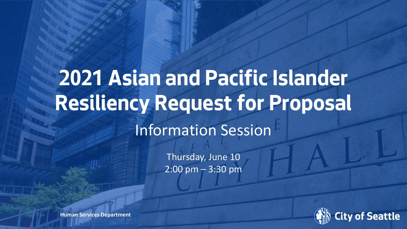# **2021 Asian and Pacific Islander Resiliency Request for Proposal**

#### Information Session

Thursday, June 10  $2:00 \text{ pm} - 3:30 \text{ pm}$ 



**Human Services Department**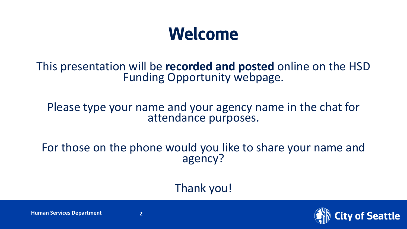#### **Welcome**

This presentation will be **recorded and posted** online on the HSD Funding Opportunity webpage.

#### Please type your name and your agency name in the chat for attendance purposes.

#### For those on the phone would you like to share your name and agency?

#### Thank you!

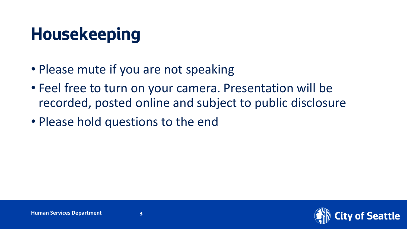#### **Housekeeping**

- Please mute if you are not speaking
- Feel free to turn on your camera. Presentation will be recorded, posted online and subject to public disclosure
- Please hold questions to the end

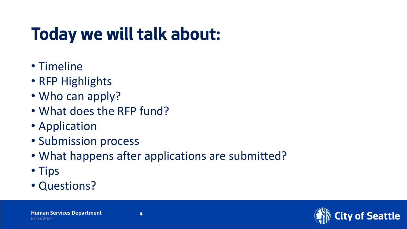## **Today we will talk about:**

- Timeline
- RFP Highlights
- Who can apply?
- What does the RFP fund?
- Application
- Submission process
- What happens after applications are submitted?
- Tips
- Questions?

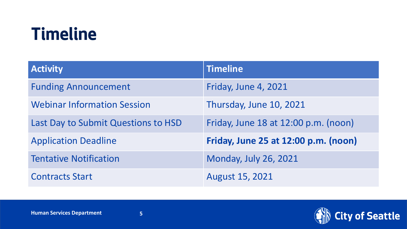#### **Timeline**

| <b>Activity</b>                     | <b>Timeline</b>                      |
|-------------------------------------|--------------------------------------|
| <b>Funding Announcement</b>         | Friday, June 4, 2021                 |
| <b>Webinar Information Session</b>  | Thursday, June 10, 2021              |
| Last Day to Submit Questions to HSD | Friday, June 18 at 12:00 p.m. (noon) |
| <b>Application Deadline</b>         | Friday, June 25 at 12:00 p.m. (noon) |
| <b>Tentative Notification</b>       | <b>Monday, July 26, 2021</b>         |
| <b>Contracts Start</b>              | <b>August 15, 2021</b>               |

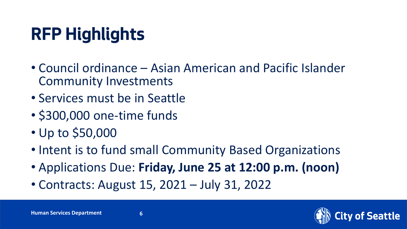### **RFP Highlights**

- Council ordinance Asian American and Pacific Islander Community Investments
- Services must be in Seattle
- \$300,000 one-time funds
- Up to \$50,000
- Intent is to fund small Community Based Organizations
- Applications Due: **Friday, June 25 at 12:00 p.m. (noon)**
- Contracts: August 15, 2021 July 31, 2022

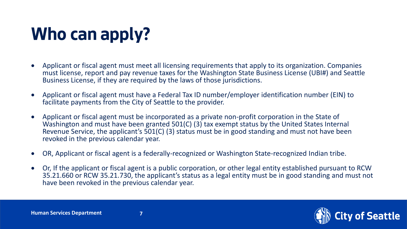## **Who can apply?**

- Applicant or fiscal agent must meet all licensing requirements that apply to its organization. Companies must license, report and pay revenue taxes for the Washington State Business License (UBI#) and Seattle Business License, if they are required by the laws of those jurisdictions.
- Applicant or fiscal agent must have a Federal Tax ID number/employer identification number (EIN) to facilitate payments from the City of Seattle to the provider.
- Applicant or fiscal agent must be incorporated as a private non-profit corporation in the State of Washington and must have been granted 501(C) (3) tax exempt status by the United States Internal Revenue Service, the applicant's 501(C) (3) status must be in good standing and must not have been revoked in the previous calendar year.
- OR, Applicant or fiscal agent is a federally-recognized or Washington State-recognized Indian tribe.
- Or, If the applicant or fiscal agent is a public corporation, or other legal entity established pursuant to RCW 35.21.660 or RCW 35.21.730, the applicant's status as a legal entity must be in good standing and must not have been revoked in the previous calendar year.

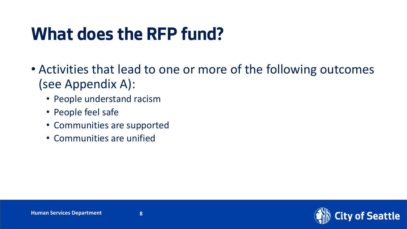#### **What does the RFP fund?**

- Activities that lead to one or more of the following outcomes (see Appendix A):
	- People understand racism
	- People feel safe
	- Communities are supported
	- Communities are unified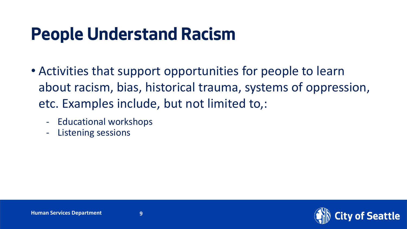#### **People Understand Racism**

- Activities that support opportunities for people to learn about racism, bias, historical trauma, systems of oppression, etc. Examples include, but not limited to,:
	- Educational workshops
	- Listening sessions

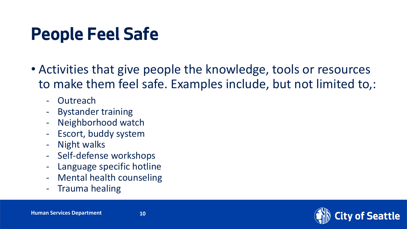#### **People Feel Safe**

- Activities that give people the knowledge, tools or resources to make them feel safe. Examples include, but not limited to,:
	- Outreach
	- Bystander training
	- Neighborhood watch
	- Escort, buddy system
	- Night walks
	- Self-defense workshops
	- Language specific hotline
	- Mental health counseling
	- Trauma healing

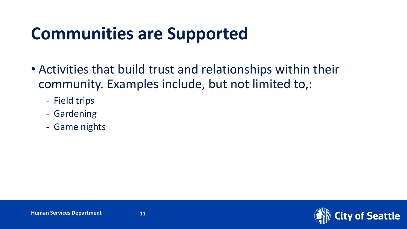#### **Communities are Supported**

- Activities that build trust and relationships within their community. Examples include, but not limited to,:
	- Field trips
	- Gardening
	- Game nights

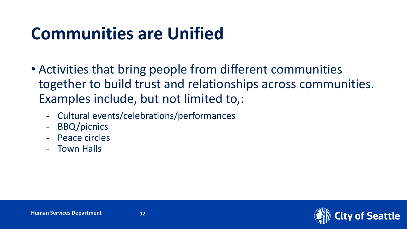#### **Communities are Unified**

- Activities that bring people from different communities together to build trust and relationships across communities. Examples include, but not limited to,:
	- Cultural events/celebrations/performances
	- BBQ/picnics
	- Peace circles
	- Town Halls

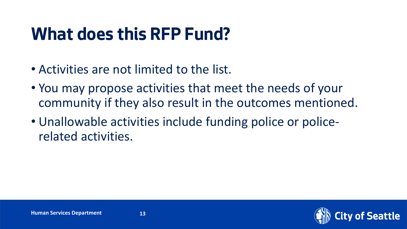#### **What does this RFP Fund?**

- Activities are not limited to the list.
- You may propose activities that meet the needs of your community if they also result in the outcomes mentioned.
- Unallowable activities include funding police or policerelated activities.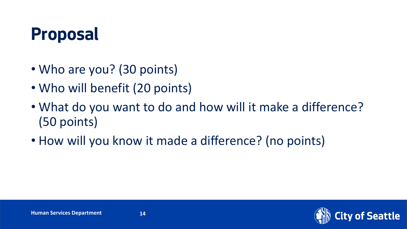#### **Proposal**

- Who are you? (30 points)
- Who will benefit (20 points)
- What do you want to do and how will it make a difference? (50 points)
- How will you know it made a difference? (no points)

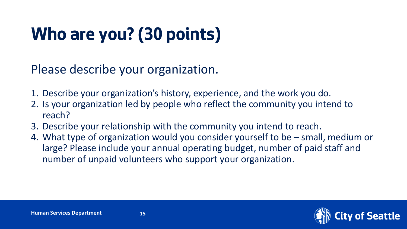## **Who are you? (30 points)**

Please describe your organization.

- 1. Describe your organization's history, experience, and the work you do.
- 2. Is your organization led by people who reflect the community you intend to reach?
- 3. Describe your relationship with the community you intend to reach.
- 4. What type of organization would you consider yourself to be small, medium or large? Please include your annual operating budget, number of paid staff and number of unpaid volunteers who support your organization.

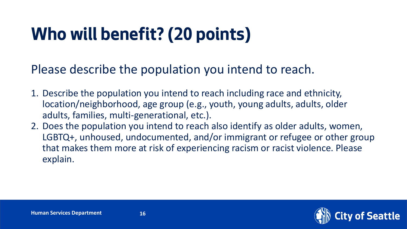### **Who will benefit? (20 points)**

Please describe the population you intend to reach.

- 1. Describe the population you intend to reach including race and ethnicity, location/neighborhood, age group (e.g., youth, young adults, adults, older adults, families, multi-generational, etc.).
- 2. Does the population you intend to reach also identify as older adults, women, LGBTQ+, unhoused, undocumented, and/or immigrant or refugee or other group that makes them more at risk of experiencing racism or racist violence. Please explain.



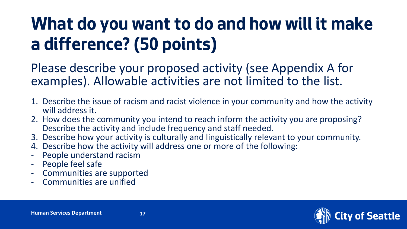### **What do you want to do and how will it make a difference?(50 points)**

Please describe your proposed activity (see Appendix A for examples). Allowable activities are not limited to the list.

- 1. Describe the issue of racism and racist violence in your community and how the activity will address it.
- 2. How does the community you intend to reach inform the activity you are proposing? Describe the activity and include frequency and staff needed.
- 3. Describe how your activity is culturally and linguistically relevant to your community.
- 4. Describe how the activity will address one or more of the following:
- People understand racism
- People feel safe
- Communities are supported
- Communities are unified

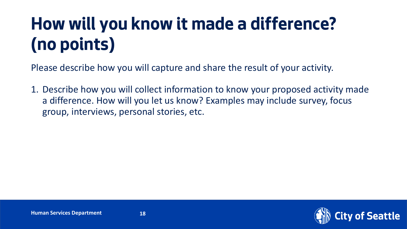## **How will you know it made a difference? (no points)**

Please describe how you will capture and share the result of your activity.

1. Describe how you will collect information to know your proposed activity made a difference. How will you let us know? Examples may include survey, focus group, interviews, personal stories, etc.

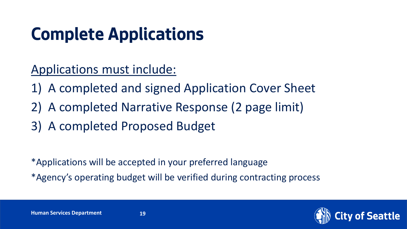## **Complete Applications**

Applications must include:

- 1) A completed and signed Application Cover Sheet
- 2) A completed Narrative Response (2 page limit)
- 3) A completed Proposed Budget

\*Applications will be accepted in your preferred language

\*Agency's operating budget will be verified during contracting process

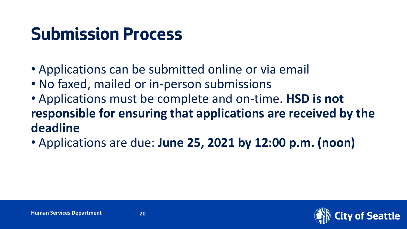#### **Submission Process**

- Applications can be submitted online or via email
- No faxed, mailed or in-person submissions
- Applications must be complete and on-time. **HSD is not responsible for ensuring that applications are received by the deadline**
- Applications are due: **June 25, 2021 by 12:00 p.m. (noon)**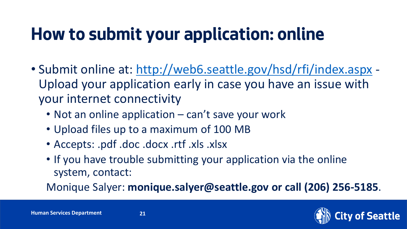### **How to submit your application: online**

- Submit online at: <http://web6.seattle.gov/hsd/rfi/index.aspx> Upload your application early in case you have an issue with your internet connectivity
	- Not an online application can't save your work
	- Upload files up to a maximum of 100 MB
	- Accepts: .pdf .doc .docx .rtf .xls .xlsx
	- If you have trouble submitting your application via the online system, contact:

Monique Salyer: **monique.salyer@seattle.gov or call (206) 256-5185**.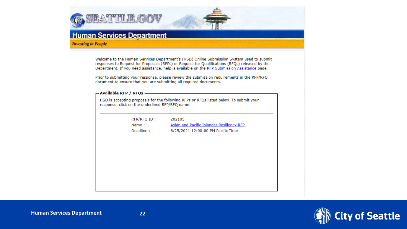

#### **Human Services Department**

**Investing in People** 

Welcome to the Human Services Department's (HSD) Online Submission System used to submit responses to Request for Proposals (RFPs) or Request for Qualifications (RFQs) released by the Department. If you need assistance, help is available on the RFP Submission Assistance page.

Prior to submitting your response, please review the submission requirements in the RFP/RFQ document to ensure that you are submitting all required documents.

| RFP/RFQ ID : | 202105                                    |
|--------------|-------------------------------------------|
| Name:        | Asian and Pacific Islander Resiliency RFP |
| Deadline:    | 6/25/2021 12:00:00 PM Pacific Time        |
|              |                                           |
|              |                                           |
|              |                                           |
|              |                                           |
|              |                                           |
|              |                                           |

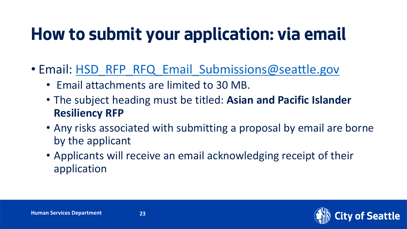#### **How to submit your application: via email**

- Email: [HSD\\_RFP\\_RFQ\\_Email\\_Submissions@seattle.gov](mailto:HSD_RFP_RFQ_Email_Submissions@seattle.gov)
	- Email attachments are limited to 30 MB.
	- The subject heading must be titled: **Asian and Pacific Islander Resiliency RFP**
	- Any risks associated with submitting a proposal by email are borne by the applicant
	- Applicants will receive an email acknowledging receipt of their application

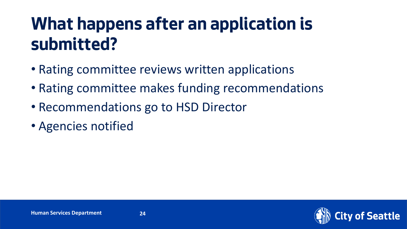#### **What happens after an application is submitted?**

- Rating committee reviews written applications
- Rating committee makes funding recommendations
- Recommendations go to HSD Director
- Agencies notified

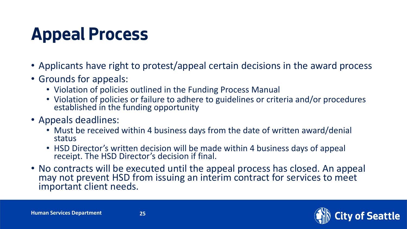### **Appeal Process**

- Applicants have right to protest/appeal certain decisions in the award process
- Grounds for appeals:
	- Violation of policies outlined in the Funding Process Manual
	- Violation of policies or failure to adhere to guidelines or criteria and/or procedures established in the funding opportunity
- Appeals deadlines:
	- Must be received within 4 business days from the date of written award/denial status
	- HSD Director's written decision will be made within 4 business days of appeal receipt. The HSD Director's decision if final.
- No contracts will be executed until the appeal process has closed. An appeal may not prevent HSD from issuing an interim contract for services to meet important client needs.



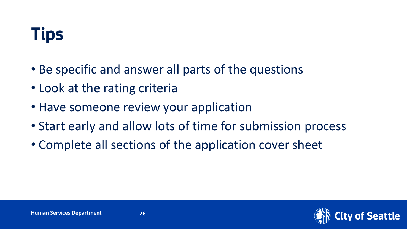#### **Tips**

- Be specific and answer all parts of the questions
- Look at the rating criteria
- Have someone review your application
- Start early and allow lots of time for submission process
- Complete all sections of the application cover sheet

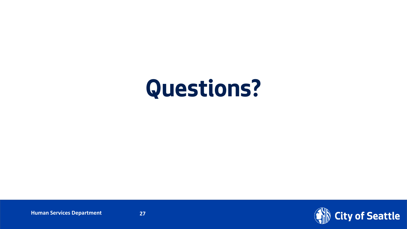# **Questions?**

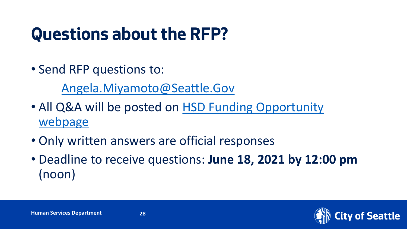#### **Questions about the RFP?**

• Send RFP questions to:

[Angela.Miyamoto@Seattle.Gov](mailto:Angela.Miyamoto@Seattle.Gov)

- [All Q&A will be posted on HSD Funding Opportunity](http://www.seattle.gov/humanservices/funding-and-reports/funding-opportunities/2021-api-resiliency-rfp)  webpage
- Only written answers are official responses
- Deadline to receive questions: **June 18, 2021 by 12:00 pm**  (noon)